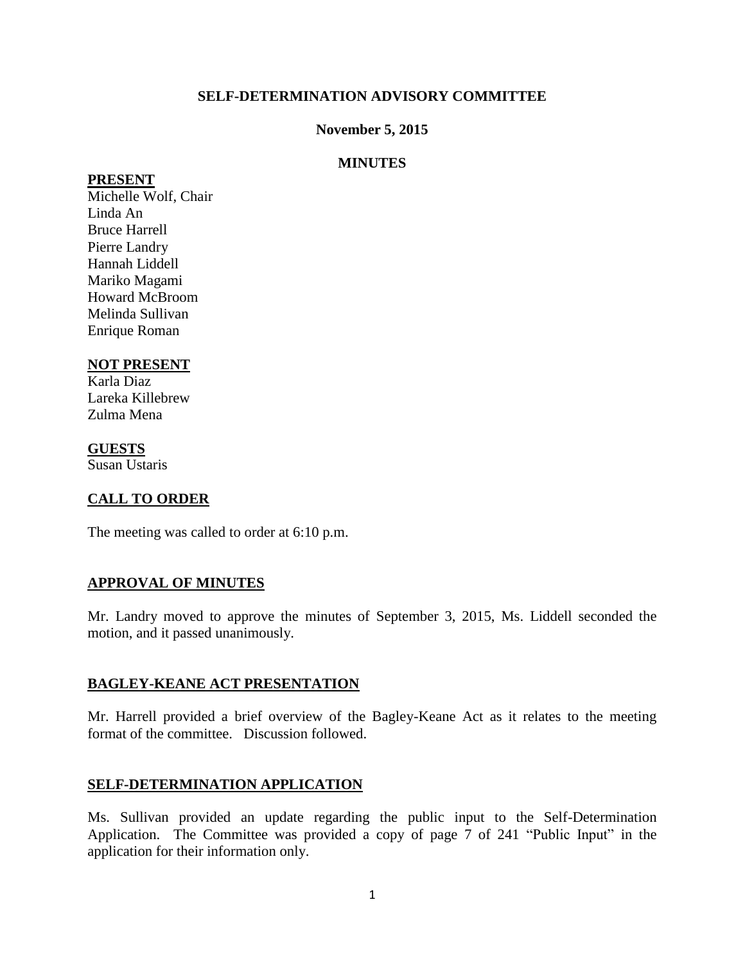#### **SELF-DETERMINATION ADVISORY COMMITTEE**

### **November 5, 2015**

### **MINUTES**

#### **PRESENT**

Michelle Wolf, Chair Linda An Bruce Harrell Pierre Landry Hannah Liddell Mariko Magami Howard McBroom Melinda Sullivan Enrique Roman

### **NOT PRESENT**

Karla Diaz Lareka Killebrew Zulma Mena

**GUESTS**

Susan Ustaris

## **CALL TO ORDER**

The meeting was called to order at 6:10 p.m.

### **APPROVAL OF MINUTES**

Mr. Landry moved to approve the minutes of September 3, 2015, Ms. Liddell seconded the motion, and it passed unanimously.

#### **BAGLEY-KEANE ACT PRESENTATION**

Mr. Harrell provided a brief overview of the Bagley-Keane Act as it relates to the meeting format of the committee. Discussion followed.

#### **SELF-DETERMINATION APPLICATION**

Ms. Sullivan provided an update regarding the public input to the Self-Determination Application. The Committee was provided a copy of page 7 of 241 "Public Input" in the application for their information only.